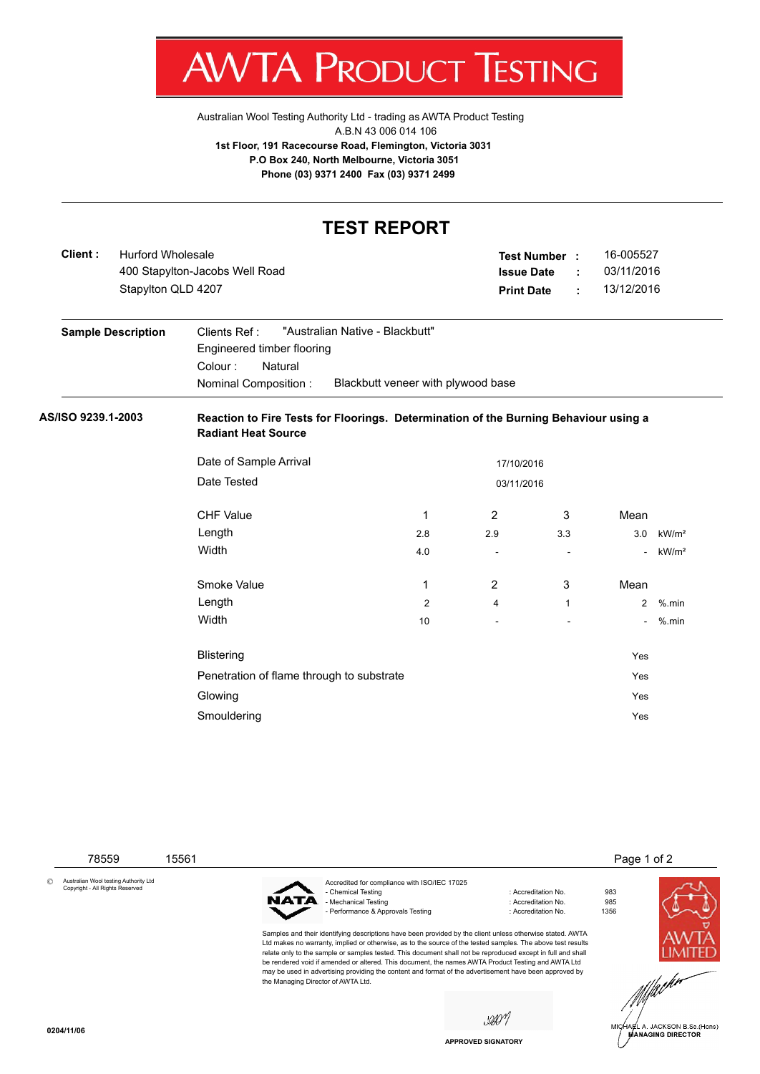

Australian Wool Testing Authority Ltd - trading as AWTA Product Testing A.B.N 43 006 014 106 **1st Floor, 191 Racecourse Road, Flemington, Victoria 3031 P.O Box 240, North Melbourne, Victoria 3051 Phone (03) 9371 2400 Fax (03) 9371 2499**

## **TEST REPORT**

| Client:                   |  | <b>Hurford Wholesale</b><br>400 Stapylton-Jacobs Well Road<br>Stapylton QLD 4207                                                                                  |     |                     | 16-005527<br><b>Test Number:</b><br>03/11/2016<br><b>Issue Date</b><br>÷<br>13/12/2016<br><b>Print Date</b><br>÷ |                |                   |
|---------------------------|--|-------------------------------------------------------------------------------------------------------------------------------------------------------------------|-----|---------------------|------------------------------------------------------------------------------------------------------------------|----------------|-------------------|
| <b>Sample Description</b> |  | "Australian Native - Blackbutt"<br>Clients Ref:<br>Engineered timber flooring<br>Natural<br>Colour:<br>Blackbutt veneer with plywood base<br>Nominal Composition: |     |                     |                                                                                                                  |                |                   |
| AS/ISO 9239.1-2003        |  | Reaction to Fire Tests for Floorings. Determination of the Burning Behaviour using a<br><b>Radiant Heat Source</b>                                                |     |                     |                                                                                                                  |                |                   |
|                           |  | Date of Sample Arrival<br>17/10/2016                                                                                                                              |     |                     |                                                                                                                  |                |                   |
|                           |  | Date Tested<br>03/11/2016                                                                                                                                         |     |                     |                                                                                                                  |                |                   |
|                           |  | <b>CHF Value</b>                                                                                                                                                  | 1   | 2<br>3              |                                                                                                                  | Mean           |                   |
|                           |  | Length                                                                                                                                                            | 2.8 | 2.9<br>3.3          |                                                                                                                  | 3.0            | kW/m <sup>2</sup> |
|                           |  | Width                                                                                                                                                             | 4.0 |                     |                                                                                                                  |                | kW/m <sup>2</sup> |
|                           |  | Smoke Value                                                                                                                                                       | 1   | $\overline{2}$<br>3 |                                                                                                                  | Mean           |                   |
|                           |  | Length                                                                                                                                                            | 2   | 4                   | $\mathbf{1}$                                                                                                     | $\overline{2}$ | $%$ .min          |
|                           |  | Width                                                                                                                                                             | 10  |                     |                                                                                                                  |                | - %.min           |
|                           |  | <b>Blistering</b>                                                                                                                                                 |     |                     |                                                                                                                  | Yes            |                   |
|                           |  | Penetration of flame through to substrate                                                                                                                         |     |                     |                                                                                                                  | Yes            |                   |
|                           |  | Glowing                                                                                                                                                           |     |                     |                                                                                                                  | Yes            |                   |
|                           |  | Smouldering                                                                                                                                                       |     |                     |                                                                                                                  | Yes            |                   |

 78559 15561 Page 1 of 2 © Australian Wool testing Authority Ltd Copyright - All Rights Reserved Accredited for compliance with ISO/IEC 17025 - Chemical Testing Chemical Testing Chemical Testing Chemical Testing Chemical Chemical Testing Chemical Chemi<br>- Accreditation No. 985 NAT Mechanical Testing - Performance & Approvals Testing in the matrix of the contract of Accreditation No. 1356 Samples and their identifying descriptions have been provided by the client unless otherwise stated. AWTA Ltd makes no warranty, implied or otherwise, as to the source of the tested samples. The above test results relate only to the sample or samples tested. This document shall not be reproduced except in full and shall be rendered void if amended or altered. This document, the names AWTA Product Testing and AWTA Ltd may be used in advertising providing the content and format of the advertisement have been approved by the Managing Director of AWTA Ltd.saon HARL A. JACKSON B.Sc.(Hons)<br>MANAGING DIRECTOR **0204/11/06**

**APPROVED SIGNATORY**